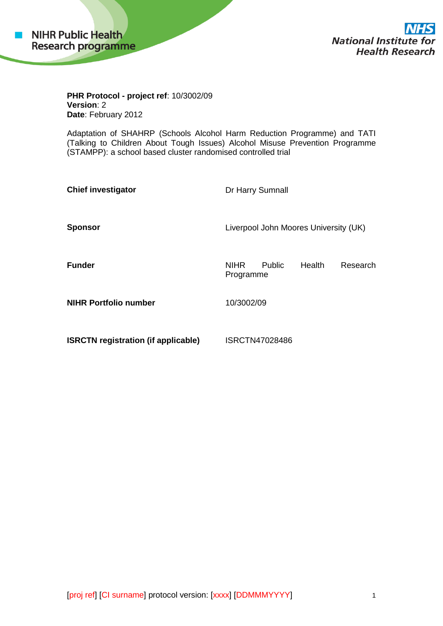

**National Institute for Health Research** 

**PHR Protocol - project ref**: 10/3002/09 **Version**: 2 **Date**: February 2012

Adaptation of SHAHRP (Schools Alcohol Harm Reduction Programme) and TATI (Talking to Children About Tough Issues) Alcohol Misuse Prevention Programme (STAMPP): a school based cluster randomised controlled trial

| <b>Chief investigator</b>                  | Dr Harry Sumnall                                                |
|--------------------------------------------|-----------------------------------------------------------------|
| <b>Sponsor</b>                             | Liverpool John Moores University (UK)                           |
| <b>Funder</b>                              | Health<br><b>NIHR</b><br><b>Public</b><br>Research<br>Programme |
| <b>NIHR Portfolio number</b>               | 10/3002/09                                                      |
| <b>ISRCTN registration (if applicable)</b> | ISRCTN47028486                                                  |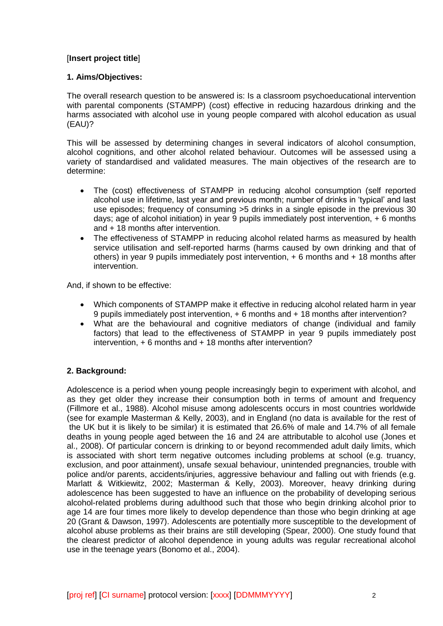# [**Insert project title**]

# **1. Aims/Objectives:**

The overall research question to be answered is: Is a classroom psychoeducational intervention with parental components (STAMPP) (cost) effective in reducing hazardous drinking and the harms associated with alcohol use in young people compared with alcohol education as usual (EAU)?

This will be assessed by determining changes in several indicators of alcohol consumption, alcohol cognitions, and other alcohol related behaviour. Outcomes will be assessed using a variety of standardised and validated measures. The main objectives of the research are to determine:

- The (cost) effectiveness of STAMPP in reducing alcohol consumption (self reported alcohol use in lifetime, last year and previous month; number of drinks in 'typical' and last use episodes; frequency of consuming >5 drinks in a single episode in the previous 30 days; age of alcohol initiation) in year 9 pupils immediately post intervention, + 6 months and + 18 months after intervention.
- The effectiveness of STAMPP in reducing alcohol related harms as measured by health service utilisation and self-reported harms (harms caused by own drinking and that of others) in year 9 pupils immediately post intervention, + 6 months and + 18 months after intervention.

And, if shown to be effective:

- Which components of STAMPP make it effective in reducing alcohol related harm in year 9 pupils immediately post intervention, + 6 months and + 18 months after intervention?
- What are the behavioural and cognitive mediators of change (individual and family factors) that lead to the effectiveness of STAMPP in year 9 pupils immediately post intervention, + 6 months and + 18 months after intervention?

# **2. Background:**

Adolescence is a period when young people increasingly begin to experiment with alcohol, and as they get older they increase their consumption both in terms of amount and frequency (Fillmore et al., 1988). Alcohol misuse among adolescents occurs in most countries worldwide (see for example Masterman & Kelly, 2003), and in England (no data is available for the rest of the UK but it is likely to be similar) it is estimated that 26.6% of male and 14.7% of all female deaths in young people aged between the 16 and 24 are attributable to alcohol use (Jones et al., 2008). Of particular concern is drinking to or beyond recommended adult daily limits, which is associated with short term negative outcomes including problems at school (e.g. truancy, exclusion, and poor attainment), unsafe sexual behaviour, unintended pregnancies, trouble with police and/or parents, accidents/injuries, aggressive behaviour and falling out with friends (e.g. Marlatt & Witkiewitz, 2002; Masterman & Kelly, 2003). Moreover, heavy drinking during adolescence has been suggested to have an influence on the probability of developing serious alcohol-related problems during adulthood such that those who begin drinking alcohol prior to age 14 are four times more likely to develop dependence than those who begin drinking at age 20 (Grant & Dawson, 1997). Adolescents are potentially more susceptible to the development of alcohol abuse problems as their brains are still developing (Spear, 2000). One study found that the clearest predictor of alcohol dependence in young adults was regular recreational alcohol use in the teenage years (Bonomo et al., 2004).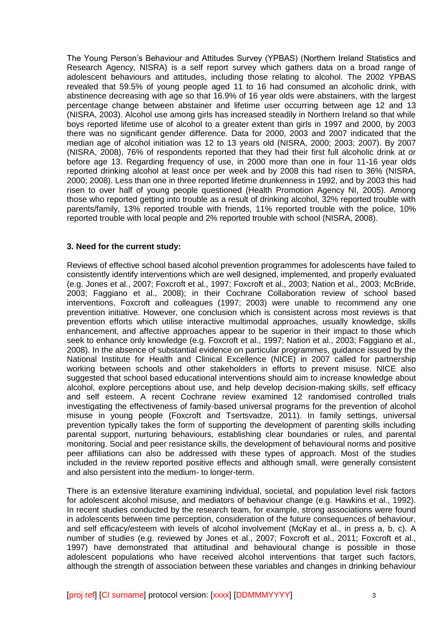The Young Person's Behaviour and Attitudes Survey (YPBAS) (Northern Ireland Statistics and Research Agency, NISRA) is a self report survey which gathers data on a broad range of adolescent behaviours and attitudes, including those relating to alcohol. The 2002 YPBAS revealed that 59.5% of young people aged 11 to 16 had consumed an alcoholic drink, with abstinence decreasing with age so that 16.9% of 16 year olds were abstainers, with the largest percentage change between abstainer and lifetime user occurring between age 12 and 13 (NISRA, 2003). Alcohol use among girls has increased steadily in Northern Ireland so that while boys reported lifetime use of alcohol to a greater extent than girls in 1997 and 2000, by 2003 there was no significant gender difference. Data for 2000, 2003 and 2007 indicated that the median age of alcohol initiation was 12 to 13 years old (NISRA, 2000; 2003; 2007). By 2007 (NISRA, 2008), 76% of respondents reported that they had their first full alcoholic drink at or before age 13. Regarding frequency of use, in 2000 more than one in four 11-16 year olds reported drinking alcohol at least once per week and by 2008 this had risen to 36% (NISRA, 2000; 2008). Less than one in three reported lifetime drunkenness in 1992, and by 2003 this had risen to over half of young people questioned (Health Promotion Agency NI, 2005). Among those who reported getting into trouble as a result of drinking alcohol, 32% reported trouble with parents/family, 13% reported trouble with friends, 11% reported trouble with the police, 10% reported trouble with local people and 2% reported trouble with school (NISRA, 2008).

# **3. Need for the current study:**

Reviews of effective school based alcohol prevention programmes for adolescents have failed to consistently identify interventions which are well designed, implemented, and properly evaluated (e.g. Jones et al., 2007; Foxcroft et al., 1997; Foxcroft et al., 2003; Nation et al., 2003; McBride, 2003; Faggiano et al., 2008); in their Cochrane Collaboration review of school based interventions, Foxcroft and colleagues (1997; 2003) were unable to recommend any one prevention initiative. However, one conclusion which is consistent across most reviews is that prevention efforts which utilise interactive multimodal approaches, usually knowledge, skills enhancement, and affective approaches appear to be superior in their impact to those which seek to enhance only knowledge (e.g. Foxcroft et al., 1997; Nation et al., 2003; Faggiano et al., 2008). In the absence of substantial evidence on particular programmes, guidance issued by the National Institute for Health and Clinical Excellence (NICE) in 2007 called for partnership working between schools and other stakeholders in efforts to prevent misuse. NICE also suggested that school based educational interventions should aim to increase knowledge about alcohol, explore perceptions about use, and help develop decision-making skills, self efficacy and self esteem. A recent Cochrane review examined 12 randomised controlled trials investigating the effectiveness of family-based universal programs for the prevention of alcohol misuse in young people (Foxcroft and Tsertsvadze, 2011). In family settings, universal prevention typically takes the form of supporting the development of parenting skills including parental support, nurturing behaviours, establishing clear boundaries or rules, and parental monitoring. Social and peer resistance skills, the development of behavioural norms and positive peer affiliations can also be addressed with these types of approach. Most of the studies included in the review reported positive effects and although small, were generally consistent and also persistent into the medium- to longer-term.

There is an extensive literature examining individual, societal, and population level risk factors for adolescent alcohol misuse, and mediators of behaviour change (e.g. Hawkins et al., 1992). In recent studies conducted by the research team, for example, strong associations were found in adolescents between time perception, consideration of the future consequences of behaviour, and self efficacy/esteem with levels of alcohol involvement (McKay et al., in press a, b, c). A number of studies (e.g. reviewed by Jones et al., 2007; Foxcroft et al., 2011; Foxcroft et al., 1997) have demonstrated that attitudinal and behavioural change is possible in those adolescent populations who have received alcohol interventions that target such factors, although the strength of association between these variables and changes in drinking behaviour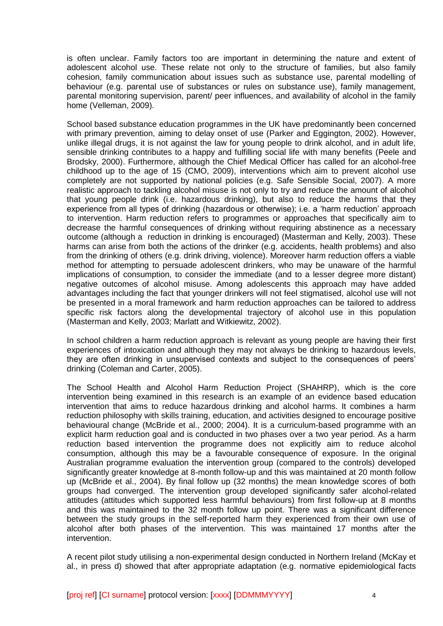is often unclear. Family factors too are important in determining the nature and extent of adolescent alcohol use. These relate not only to the structure of families, but also family cohesion, family communication about issues such as substance use, parental modelling of behaviour (e.g. parental use of substances or rules on substance use), family management, parental monitoring supervision, parent/ peer influences, and availability of alcohol in the family home (Velleman, 2009).

School based substance education programmes in the UK have predominantly been concerned with primary prevention, aiming to delay onset of use (Parker and Eggington, 2002). However, unlike illegal drugs, it is not against the law for young people to drink alcohol, and in adult life, sensible drinking contributes to a happy and fulfilling social life with many benefits (Peele and Brodsky, 2000). Furthermore, although the Chief Medical Officer has called for an alcohol-free childhood up to the age of 15 (CMO, 2009), interventions which aim to prevent alcohol use completely are not supported by national policies (e.g. Safe Sensible Social, 2007). A more realistic approach to tackling alcohol misuse is not only to try and reduce the amount of alcohol that young people drink (i.e. hazardous drinking), but also to reduce the harms that they experience from all types of drinking (hazardous or otherwise); i.e. a 'harm reduction' approach to intervention. Harm reduction refers to programmes or approaches that specifically aim to decrease the harmful consequences of drinking without requiring abstinence as a necessary outcome (although a reduction in drinking is encouraged) (Masterman and Kelly, 2003). These harms can arise from both the actions of the drinker (e.g. accidents, health problems) and also from the drinking of others (e.g. drink driving, violence). Moreover harm reduction offers a viable method for attempting to persuade adolescent drinkers, who may be unaware of the harmful implications of consumption, to consider the immediate (and to a lesser degree more distant) negative outcomes of alcohol misuse. Among adolescents this approach may have added advantages including the fact that younger drinkers will not feel stigmatised, alcohol use will not be presented in a moral framework and harm reduction approaches can be tailored to address specific risk factors along the developmental trajectory of alcohol use in this population (Masterman and Kelly, 2003; Marlatt and Witkiewitz, 2002).

In school children a harm reduction approach is relevant as young people are having their first experiences of intoxication and although they may not always be drinking to hazardous levels, they are often drinking in unsupervised contexts and subject to the consequences of peers' drinking (Coleman and Carter, 2005).

The School Health and Alcohol Harm Reduction Project (SHAHRP), which is the core intervention being examined in this research is an example of an evidence based education intervention that aims to reduce hazardous drinking and alcohol harms. It combines a harm reduction philosophy with skills training, education, and activities designed to encourage positive behavioural change (McBride et al., 2000; 2004). It is a curriculum-based programme with an explicit harm reduction goal and is conducted in two phases over a two year period. As a harm reduction based intervention the programme does not explicitly aim to reduce alcohol consumption, although this may be a favourable consequence of exposure. In the original Australian programme evaluation the intervention group (compared to the controls) developed significantly greater knowledge at 8-month follow-up and this was maintained at 20 month follow up (McBride et al., 2004). By final follow up (32 months) the mean knowledge scores of both groups had converged. The intervention group developed significantly safer alcohol-related attitudes (attitudes which supported less harmful behaviours) from first follow-up at 8 months and this was maintained to the 32 month follow up point. There was a significant difference between the study groups in the self-reported harm they experienced from their own use of alcohol after both phases of the intervention. This was maintained 17 months after the intervention.

A recent pilot study utilising a non-experimental design conducted in Northern Ireland (McKay et al., in press d) showed that after appropriate adaptation (e.g. normative epidemiological facts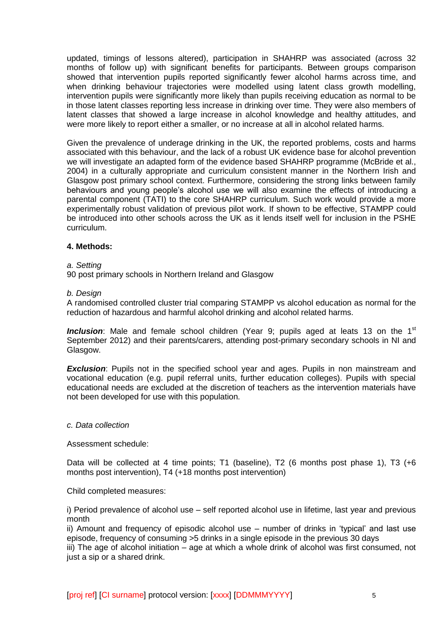updated, timings of lessons altered), participation in SHAHRP was associated (across 32 months of follow up) with significant benefits for participants. Between groups comparison showed that intervention pupils reported significantly fewer alcohol harms across time, and when drinking behaviour trajectories were modelled using latent class growth modelling, intervention pupils were significantly more likely than pupils receiving education as normal to be in those latent classes reporting less increase in drinking over time. They were also members of latent classes that showed a large increase in alcohol knowledge and healthy attitudes, and were more likely to report either a smaller, or no increase at all in alcohol related harms.

Given the prevalence of underage drinking in the UK, the reported problems, costs and harms associated with this behaviour, and the lack of a robust UK evidence base for alcohol prevention we will investigate an adapted form of the evidence based SHAHRP programme (McBride et al., 2004) in a culturally appropriate and curriculum consistent manner in the Northern Irish and Glasgow post primary school context. Furthermore, considering the strong links between family behaviours and young people's alcohol use we will also examine the effects of introducing a parental component (TATI) to the core SHAHRP curriculum. Such work would provide a more experimentally robust validation of previous pilot work. If shown to be effective, STAMPP could be introduced into other schools across the UK as it lends itself well for inclusion in the PSHE curriculum.

# **4. Methods:**

### *a. Setting*

90 post primary schools in Northern Ireland and Glasgow

#### *b. Design*

A randomised controlled cluster trial comparing STAMPP vs alcohol education as normal for the reduction of hazardous and harmful alcohol drinking and alcohol related harms.

**Inclusion**: Male and female school children (Year 9; pupils aged at leats 13 on the 1<sup>st</sup> September 2012) and their parents/carers, attending post-primary secondary schools in NI and Glasgow.

**Exclusion**: Pupils not in the specified school year and ages. Pupils in non mainstream and vocational education (e.g. pupil referral units, further education colleges). Pupils with special educational needs are excluded at the discretion of teachers as the intervention materials have not been developed for use with this population.

#### *c. Data collection*

### Assessment schedule:

Data will be collected at 4 time points; T1 (baseline), T2 (6 months post phase 1), T3 (+6 months post intervention), T4 (+18 months post intervention)

### Child completed measures:

i) Period prevalence of alcohol use – self reported alcohol use in lifetime, last year and previous month

ii) Amount and frequency of episodic alcohol use – number of drinks in 'typical' and last use episode, frequency of consuming >5 drinks in a single episode in the previous 30 days

iii) The age of alcohol initiation – age at which a whole drink of alcohol was first consumed, not just a sip or a shared drink.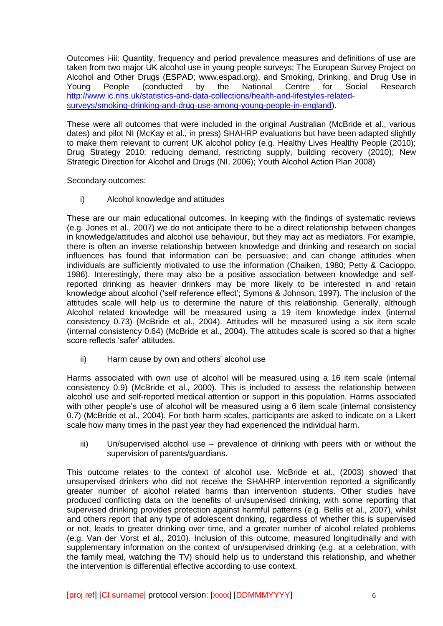Outcomes i-iii: Quantity, frequency and period prevalence measures and definitions of use are taken from two major UK alcohol use in young people surveys; The European Survey Project on Alcohol and Other Drugs (ESPAD; www.espad.org), and Smoking, Drinking, and Drug Use in Young People (conducted by the National Centre for Social Research [http://www.ic.nhs.uk/statistics-and-data-collections/health-and-lifestyles-related](http://www.ic.nhs.uk/statistics-and-data-collections/health-and-lifestyles-related-surveys/smoking-drinking-and-drug-use-among-young-people-in-england)[surveys/smoking-drinking-and-drug-use-among-young-people-in-england\)](http://www.ic.nhs.uk/statistics-and-data-collections/health-and-lifestyles-related-surveys/smoking-drinking-and-drug-use-among-young-people-in-england).

These were all outcomes that were included in the original Australian (McBride et al., various dates) and pilot NI (McKay et al., in press) SHAHRP evaluations but have been adapted slightly to make them relevant to current UK alcohol policy (e.g. Healthy Lives Healthy People (2010); Drug Strategy 2010: reducing demand, restricting supply, building recovery (2010); New Strategic Direction for Alcohol and Drugs (NI, 2006); Youth Alcohol Action Plan 2008)

Secondary outcomes:

i) Alcohol knowledge and attitudes

These are our main educational outcomes. In keeping with the findings of systematic reviews (e.g. Jones et al., 2007) we do not anticipate there to be a direct relationship between changes in knowledge/attitudes and alcohol use behaviour, but they may act as mediators. For example, there is often an inverse relationship between knowledge and drinking and research on social influences has found that information can be persuasive; and can change attitudes when individuals are sufficiently motivated to use the information (Chaiken, 1980; Petty & Cacioppo, 1986). Interestingly, there may also be a positive association between knowledge and selfreported drinking as heavier drinkers may be more likely to be interested in and retain knowledge about alcohol ('self reference effect'; Symons & Johnson, 1997). The inclusion of the attitudes scale will help us to determine the nature of this relationship. Generally, although Alcohol related knowledge will be measured using a 19 item knowledge index (internal consistency 0.73) (McBride et al., 2004). Attitudes will be measured using a six item scale (internal consistency 0.64) (McBride et al., 2004). The attitudes scale is scored so that a higher score reflects 'safer' attitudes.

ii) Harm cause by own and others' alcohol use

Harms associated with own use of alcohol will be measured using a 16 item scale (internal consistency 0.9) (McBride et al., 2000). This is included to assess the relationship between alcohol use and self-reported medical attention or support in this population. Harms associated with other people's use of alcohol will be measured using a 6 item scale (internal consistency 0.7) (McBride et al., 2004). For both harm scales, participants are asked to indicate on a Likert scale how many times in the past year they had experienced the individual harm.

iii) Un/supervised alcohol use – prevalence of drinking with peers with or without the supervision of parents/guardians.

This outcome relates to the context of alcohol use. McBride et al., (2003) showed that unsupervised drinkers who did not receive the SHAHRP intervention reported a significantly greater number of alcohol related harms than intervention students. Other studies have produced conflicting data on the benefits of un/supervised drinking, with some reporting that supervised drinking provides protection against harmful patterns (e.g. Bellis et al., 2007), whilst and others report that any type of adolescent drinking, regardless of whether this is supervised or not, leads to greater drinking over time, and a greater number of alcohol related problems (e.g. Van der Vorst et al., 2010). Inclusion of this outcome, measured longitudinally and with supplementary information on the context of un/supervised drinking (e.g. at a celebration, with the family meal, watching the TV) should help us to understand this relationship, and whether the intervention is differential effective according to use context.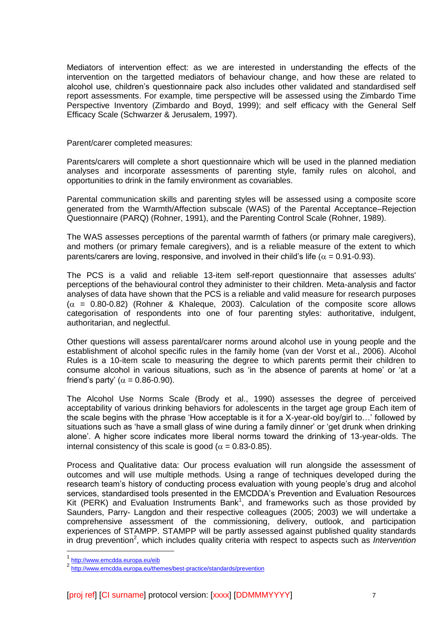Mediators of intervention effect: as we are interested in understanding the effects of the intervention on the targetted mediators of behaviour change, and how these are related to alcohol use, children's questionnaire pack also includes other validated and standardised self report assessments. For example, time perspective will be assessed using the Zimbardo Time Perspective Inventory (Zimbardo and Boyd, 1999); and self efficacy with the General Self Efficacy Scale (Schwarzer & Jerusalem, 1997).

Parent/carer completed measures:

Parents/carers will complete a short questionnaire which will be used in the planned mediation analyses and incorporate assessments of parenting style, family rules on alcohol, and opportunities to drink in the family environment as covariables.

Parental communication skills and parenting styles will be assessed using a composite score generated from the Warmth/Affection subscale (WAS) of the Parental Acceptance–Rejection Questionnaire (PARQ) (Rohner, 1991), and the Parenting Control Scale (Rohner, 1989).

The WAS assesses perceptions of the parental warmth of fathers (or primary male caregivers), and mothers (or primary female caregivers), and is a reliable measure of the extent to which parents/carers are loving, responsive, and involved in their child's life ( $\alpha$  = 0.91-0.93).

The PCS is a valid and reliable 13-item self-report questionnaire that assesses adults' perceptions of the behavioural control they administer to their children. Meta-analysis and factor analyses of data have shown that the PCS is a reliable and valid measure for research purposes  $(\alpha = 0.80 - 0.82)$  (Rohner & Khaleque, 2003). Calculation of the composite score allows categorisation of respondents into one of four parenting styles: authoritative, indulgent, authoritarian, and neglectful.

Other questions will assess parental/carer norms around alcohol use in young people and the establishment of alcohol specific rules in the family home (van der Vorst et al., 2006). Alcohol Rules is a 10-item scale to measuring the degree to which parents permit their children to consume alcohol in various situations, such as 'in the absence of parents at home' or 'at a friend's party' ( $\alpha = 0.86$ -0.90).

The Alcohol Use Norms Scale (Brody et al., 1990) assesses the degree of perceived acceptability of various drinking behaviors for adolescents in the target age group Each item of the scale begins with the phrase 'How acceptable is it for a X-year-old boy/girl to…' followed by situations such as 'have a small glass of wine during a family dinner' or 'get drunk when drinking alone'. A higher score indicates more liberal norms toward the drinking of 13-year-olds. The internal consistency of this scale is good ( $\alpha = 0.83$ -0.85).

Process and Qualitative data: Our process evaluation will run alongside the assessment of outcomes and will use multiple methods. Using a range of techniques developed during the research team's history of conducting process evaluation with young people's drug and alcohol services, standardised tools presented in the EMCDDA's Prevention and Evaluation Resources Kit (PERK) and Evaluation Instruments Bank<sup>1</sup>, and frameworks such as those provided by Saunders, Parry- Langdon and their respective colleagues (2005; 2003) we will undertake a comprehensive assessment of the commissioning, delivery, outlook, and participation experiences of STAMPP. STAMPP will be partly assessed against published quality standards in drug prevention<sup>2</sup>, which includes quality criteria with respect to aspects such as *Intervention* 

 $\overline{a}$ 

<sup>1&</sup>lt;br>2 <http://www.emcdda.europa.eu/eib>

<http://www.emcdda.europa.eu/themes/best-practice/standards/prevention>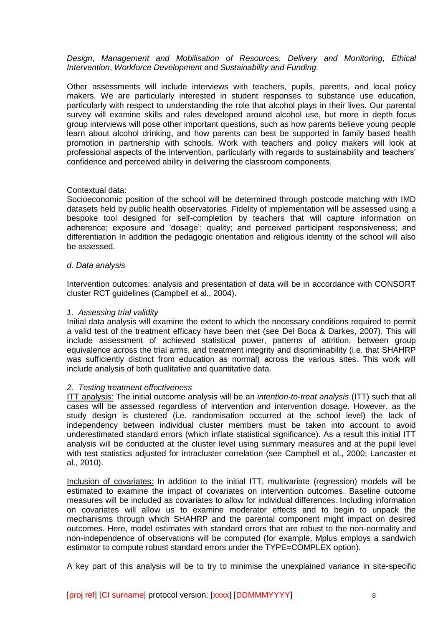## *Design*, *Management and Mobilisation of Resources*, *Delivery and Monitoring*, *Ethical Intervention*, *Workforce Development* and *Sustainability and Funding.*

Other assessments will include interviews with teachers, pupils, parents, and local policy makers. We are particularly interested in student responses to substance use education, particularly with respect to understanding the role that alcohol plays in their lives. Our parental survey will examine skills and rules developed around alcohol use, but more in depth focus group interviews will pose other important questions, such as how parents believe young people learn about alcohol drinking, and how parents can best be supported in family based health promotion in partnership with schools. Work with teachers and policy makers will look at professional aspects of the intervention, particularly with regards to sustainability and teachers' confidence and perceived ability in delivering the classroom components.

# Contextual data:

Socioeconomic position of the school will be determined through postcode matching with IMD datasets held by public health observatories. Fidelity of implementation will be assessed using a bespoke tool designed for self-completion by teachers that will capture information on adherence; exposure and 'dosage'; quality; and perceived participant responsiveness; and differentiation In addition the pedagogic orientation and religious identity of the school will also be assessed.

# *d. Data analysis*

Intervention outcomes: analysis and presentation of data will be in accordance with CONSORT cluster RCT guidelines (Campbell et al., 2004).

### *1. Assessing trial validity*

Initial data analysis will examine the extent to which the necessary conditions required to permit a valid test of the treatment efficacy have been met (see Del Boca & Darkes, 2007). This will include assessment of achieved statistical power, patterns of attrition, between group equivalence across the trial arms, and treatment integrity and discriminability (i.e. that SHAHRP was sufficiently distinct from education as normal) across the various sites. This work will include analysis of both qualitative and quantitative data.

### *2. Testing treatment effectiveness*

ITT analysis: The initial outcome analysis will be an *intention-to-treat analysis* (ITT) such that all cases will be assessed regardless of intervention and intervention dosage. However, as the study design is clustered (i.e. randomisation occurred at the school level) the lack of independency between individual cluster members must be taken into account to avoid underestimated standard errors (which inflate statistical significance). As a result this initial ITT analysis will be conducted at the cluster level using summary measures and at the pupil level with test statistics adjusted for intracluster correlation (see Campbell et al., 2000; Lancaster et al., 2010).

Inclusion of covariates: In addition to the initial ITT, multivariate (regression) models will be estimated to examine the impact of covariates on intervention outcomes. Baseline outcome measures will be included as covariates to allow for individual differences. Including information on covariates will allow us to examine moderator effects and to begin to unpack the mechanisms through which SHAHRP and the parental component might impact on desired outcomes. Here, model estimates with standard errors that are robust to the non-normality and non-independence of observations will be computed (for example, Mplus employs a sandwich estimator to compute robust standard errors under the TYPE=COMPLEX option).

A key part of this analysis will be to try to minimise the unexplained variance in site-specific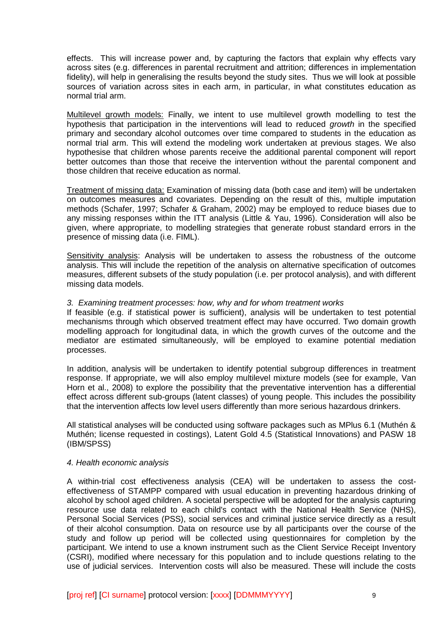effects. This will increase power and, by capturing the factors that explain why effects vary across sites (e.g. differences in parental recruitment and attrition; differences in implementation fidelity), will help in generalising the results beyond the study sites. Thus we will look at possible sources of variation across sites in each arm, in particular, in what constitutes education as normal trial arm.

Multilevel growth models: Finally, we intent to use multilevel growth modelling to test the hypothesis that participation in the interventions will lead to reduced *growth* in the specified primary and secondary alcohol outcomes over time compared to students in the education as normal trial arm. This will extend the modeling work undertaken at previous stages. We also hypothesise that children whose parents receive the additional parental component will report better outcomes than those that receive the intervention without the parental component and those children that receive education as normal.

Treatment of missing data: Examination of missing data (both case and item) will be undertaken on outcomes measures and covariates. Depending on the result of this, multiple imputation methods (Schafer, 1997; Schafer & Graham, 2002) may be employed to reduce biases due to any missing responses within the ITT analysis (Little & Yau, 1996). Consideration will also be given, where appropriate, to modelling strategies that generate robust standard errors in the presence of missing data (i.e. FIML).

Sensitivity analysis: Analysis will be undertaken to assess the robustness of the outcome analysis. This will include the repetition of the analysis on alternative specification of outcomes measures, different subsets of the study population (i.e. per protocol analysis), and with different missing data models.

# *3. Examining treatment processes: how, why and for whom treatment works*

If feasible (e.g. if statistical power is sufficient), analysis will be undertaken to test potential mechanisms through which observed treatment effect may have occurred. Two domain growth modelling approach for longitudinal data, in which the growth curves of the outcome and the mediator are estimated simultaneously, will be employed to examine potential mediation processes.

In addition, analysis will be undertaken to identify potential subgroup differences in treatment response. If appropriate, we will also employ multilevel mixture models (see for example, Van Horn et al., 2008) to explore the possibility that the preventative intervention has a differential effect across different sub-groups (latent classes) of young people. This includes the possibility that the intervention affects low level users differently than more serious hazardous drinkers.

All statistical analyses will be conducted using software packages such as MPlus 6.1 (Muthén & Muthén; license requested in costings), Latent Gold 4.5 (Statistical Innovations) and PASW 18 (IBM/SPSS)

### *4. Health economic analysis*

A within-trial cost effectiveness analysis (CEA) will be undertaken to assess the costeffectiveness of STAMPP compared with usual education in preventing hazardous drinking of alcohol by school aged children. A societal perspective will be adopted for the analysis capturing resource use data related to each child's contact with the National Health Service (NHS), Personal Social Services (PSS), social services and criminal justice service directly as a result of their alcohol consumption. Data on resource use by all participants over the course of the study and follow up period will be collected using questionnaires for completion by the participant. We intend to use a known instrument such as the Client Service Receipt Inventory (CSRI), modified where necessary for this population and to include questions relating to the use of judicial services. Intervention costs will also be measured. These will include the costs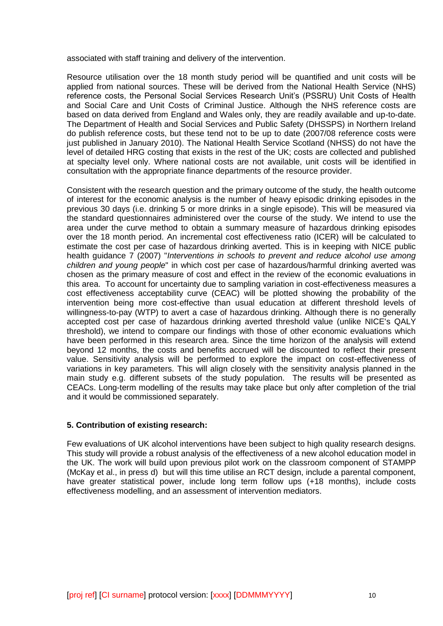associated with staff training and delivery of the intervention.

Resource utilisation over the 18 month study period will be quantified and unit costs will be applied from national sources. These will be derived from the National Health Service (NHS) reference costs, the Personal Social Services Research Unit's (PSSRU) Unit Costs of Health and Social Care and Unit Costs of Criminal Justice. Although the NHS reference costs are based on data derived from England and Wales only, they are readily available and up-to-date. The Department of Health and Social Services and Public Safety (DHSSPS) in Northern Ireland do publish reference costs, but these tend not to be up to date (2007/08 reference costs were just published in January 2010). The National Health Service Scotland (NHSS) do not have the level of detailed HRG costing that exists in the rest of the UK; costs are collected and published at specialty level only. Where national costs are not available, unit costs will be identified in consultation with the appropriate finance departments of the resource provider.

Consistent with the research question and the primary outcome of the study, the health outcome of interest for the economic analysis is the number of heavy episodic drinking episodes in the previous 30 days (i.e. drinking 5 or more drinks in a single episode). This will be measured via the standard questionnaires administered over the course of the study. We intend to use the area under the curve method to obtain a summary measure of hazardous drinking episodes over the 18 month period. An incremental cost effectiveness ratio (ICER) will be calculated to estimate the cost per case of hazardous drinking averted. This is in keeping with NICE public health guidance 7 (2007) "*Interventions in schools to prevent and reduce alcohol use among children and young people*" in which cost per case of hazardous/harmful drinking averted was chosen as the primary measure of cost and effect in the review of the economic evaluations in this area. To account for uncertainty due to sampling variation in cost-effectiveness measures a cost effectiveness acceptability curve (CEAC) will be plotted showing the probability of the intervention being more cost-effective than usual education at different threshold levels of willingness-to-pay (WTP) to avert a case of hazardous drinking. Although there is no generally accepted cost per case of hazardous drinking averted threshold value (unlike NICE's QALY threshold), we intend to compare our findings with those of other economic evaluations which have been performed in this research area. Since the time horizon of the analysis will extend beyond 12 months, the costs and benefits accrued will be discounted to reflect their present value. Sensitivity analysis will be performed to explore the impact on cost-effectiveness of variations in key parameters. This will align closely with the sensitivity analysis planned in the main study e.g. different subsets of the study population. The results will be presented as CEACs. Long-term modelling of the results may take place but only after completion of the trial and it would be commissioned separately.

### **5. Contribution of existing research:**

Few evaluations of UK alcohol interventions have been subject to high quality research designs. This study will provide a robust analysis of the effectiveness of a new alcohol education model in the UK. The work will build upon previous pilot work on the classroom component of STAMPP (McKay et al., in press d) but will this time utilise an RCT design, include a parental component, have greater statistical power, include long term follow ups (+18 months), include costs effectiveness modelling, and an assessment of intervention mediators.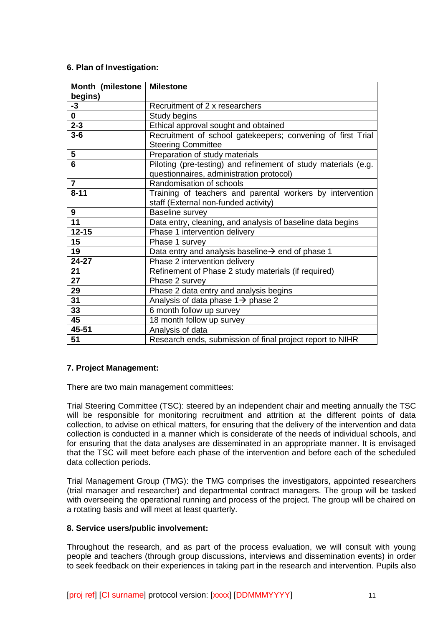# **6. Plan of Investigation:**

| Month (milestone | <b>Milestone</b>                                                                         |
|------------------|------------------------------------------------------------------------------------------|
| begins)          |                                                                                          |
| $-3$             | Recruitment of 2 x researchers                                                           |
| 0                | Study begins                                                                             |
| $2 - 3$          | Ethical approval sought and obtained                                                     |
| $3-6$            | Recruitment of school gatekeepers; convening of first Trial<br><b>Steering Committee</b> |
| 5                | Preparation of study materials                                                           |
| 6                | Piloting (pre-testing) and refinement of study materials (e.g.                           |
|                  | questionnaires, administration protocol)                                                 |
| $\overline{7}$   | Randomisation of schools                                                                 |
| $8 - 11$         | Training of teachers and parental workers by intervention                                |
|                  | staff (External non-funded activity)                                                     |
| 9                | Baseline survey                                                                          |
| $\overline{11}$  | Data entry, cleaning, and analysis of baseline data begins                               |
| $12 - 15$        | Phase 1 intervention delivery                                                            |
| 15               | Phase 1 survey                                                                           |
| 19               | Data entry and analysis baseline $\rightarrow$ end of phase 1                            |
| 24-27            | Phase 2 intervention delivery                                                            |
| 21               | Refinement of Phase 2 study materials (if required)                                      |
| 27               | Phase 2 survey                                                                           |
| 29               | Phase 2 data entry and analysis begins                                                   |
| 31               | Analysis of data phase $1\rightarrow$ phase 2                                            |
| 33               | 6 month follow up survey                                                                 |
| 45               | 18 month follow up survey                                                                |
| 45-51            | Analysis of data                                                                         |
| 51               | Research ends, submission of final project report to NIHR                                |

# **7. Project Management:**

There are two main management committees:

Trial Steering Committee (TSC): steered by an independent chair and meeting annually the TSC will be responsible for monitoring recruitment and attrition at the different points of data collection, to advise on ethical matters, for ensuring that the delivery of the intervention and data collection is conducted in a manner which is considerate of the needs of individual schools, and for ensuring that the data analyses are disseminated in an appropriate manner. It is envisaged that the TSC will meet before each phase of the intervention and before each of the scheduled data collection periods.

Trial Management Group (TMG): the TMG comprises the investigators, appointed researchers (trial manager and researcher) and departmental contract managers. The group will be tasked with overseeing the operational running and process of the project. The group will be chaired on a rotating basis and will meet at least quarterly.

# **8. Service users/public involvement:**

Throughout the research, and as part of the process evaluation, we will consult with young people and teachers (through group discussions, interviews and dissemination events) in order to seek feedback on their experiences in taking part in the research and intervention. Pupils also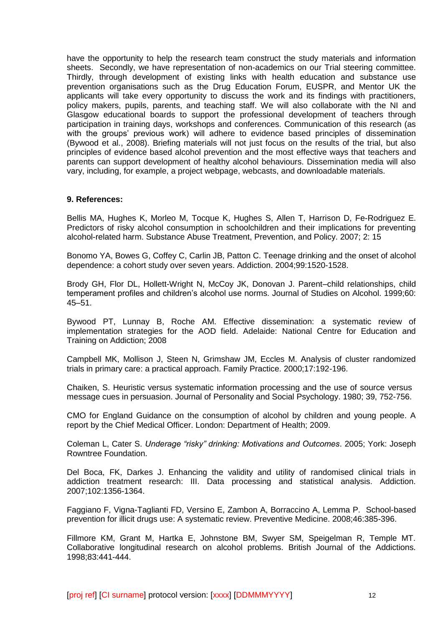have the opportunity to help the research team construct the study materials and information sheets. Secondly, we have representation of non-academics on our Trial steering committee. Thirdly, through development of existing links with health education and substance use prevention organisations such as the Drug Education Forum, EUSPR, and Mentor UK the applicants will take every opportunity to discuss the work and its findings with practitioners, policy makers, pupils, parents, and teaching staff. We will also collaborate with the NI and Glasgow educational boards to support the professional development of teachers through participation in training days, workshops and conferences. Communication of this research (as with the groups' previous work) will adhere to evidence based principles of dissemination (Bywood et al., 2008). Briefing materials will not just focus on the results of the trial, but also principles of evidence based alcohol prevention and the most effective ways that teachers and parents can support development of healthy alcohol behaviours. Dissemination media will also vary, including, for example, a project webpage, webcasts, and downloadable materials.

### **9. References:**

Bellis MA, Hughes K, Morleo M, Tocque K, Hughes S, Allen T, Harrison D, Fe-Rodriguez E. Predictors of risky alcohol consumption in schoolchildren and their implications for preventing alcohol-related harm. Substance Abuse Treatment, Prevention, and Policy. 2007; 2: 15

Bonomo YA, Bowes G, Coffey C, Carlin JB, Patton C. Teenage drinking and the onset of alcohol dependence: a cohort study over seven years. Addiction. 2004;99:1520-1528.

Brody GH, Flor DL, Hollett-Wright N, McCoy JK, Donovan J. Parent–child relationships, child temperament profiles and children's alcohol use norms. Journal of Studies on Alcohol. 1999;60: 45–51.

Bywood PT, Lunnay B, Roche AM. Effective dissemination: a systematic review of implementation strategies for the AOD field. Adelaide: National Centre for Education and Training on Addiction; 2008

Campbell MK, Mollison J, Steen N, Grimshaw JM, Eccles M. Analysis of cluster randomized trials in primary care: a practical approach. Family Practice. 2000;17:192-196.

Chaiken, S. Heuristic versus systematic information processing and the use of source versus message cues in persuasion. Journal of Personality and Social Psychology. 1980; 39, 752-756.

CMO for England Guidance on the consumption of alcohol by children and young people. A report by the Chief Medical Officer. London: Department of Health; 2009.

Coleman L, Cater S. *Underage "risky" drinking: Motivations and Outcomes*. 2005; York: Joseph Rowntree Foundation.

Del Boca, FK, Darkes J. Enhancing the validity and utility of randomised clinical trials in addiction treatment research: III. Data processing and statistical analysis. Addiction. 2007;102:1356-1364.

Faggiano F, Vigna-Taglianti FD, Versino E, Zambon A, Borraccino A, Lemma P. School-based prevention for illicit drugs use: A systematic review. Preventive Medicine. 2008;46:385-396.

Fillmore KM, Grant M, Hartka E, Johnstone BM, Swyer SM, Speigelman R, Temple MT. Collaborative longitudinal research on alcohol problems. British Journal of the Addictions. 1998;83:441-444.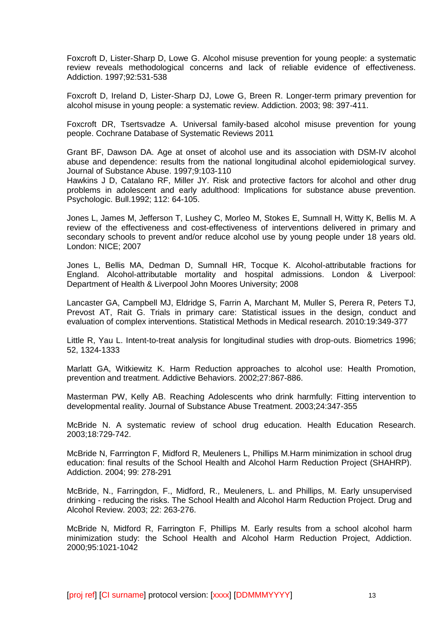Foxcroft D, Lister-Sharp D, Lowe G. Alcohol misuse prevention for young people: a systematic review reveals methodological concerns and lack of reliable evidence of effectiveness. Addiction. 1997;92:531-538

Foxcroft D, Ireland D, Lister-Sharp DJ, Lowe G, Breen R. Longer-term primary prevention for alcohol misuse in young people: a systematic review. Addiction. 2003; 98: 397-411.

Foxcroft DR, Tsertsvadze A. Universal family-based alcohol misuse prevention for young people. Cochrane Database of Systematic Reviews 2011

Grant BF, Dawson DA. Age at onset of alcohol use and its association with DSM-IV alcohol abuse and dependence: results from the national longitudinal alcohol epidemiological survey. Journal of Substance Abuse. 1997;9:103-110

Hawkins J D, Catalano RF, Miller JY. Risk and protective factors for alcohol and other drug problems in adolescent and early adulthood: Implications for substance abuse prevention. Psychologic. Bull.1992; 112: 64-105.

Jones L, James M, Jefferson T, Lushey C, Morleo M, Stokes E, Sumnall H, Witty K, Bellis M. A review of the effectiveness and cost-effectiveness of interventions delivered in primary and secondary schools to prevent and/or reduce alcohol use by young people under 18 years old. London: NICE; 2007

Jones L, Bellis MA, Dedman D, Sumnall HR, Tocque K. Alcohol-attributable fractions for England. Alcohol-attributable mortality and hospital admissions. London & Liverpool: Department of Health & Liverpool John Moores University; 2008

Lancaster GA, Campbell MJ, Eldridge S, Farrin A, Marchant M, Muller S, Perera R, Peters TJ, Prevost AT, Rait G. Trials in primary care: Statistical issues in the design, conduct and evaluation of complex interventions. Statistical Methods in Medical research. 2010:19:349-377

Little R, Yau L. Intent-to-treat analysis for longitudinal studies with drop-outs. Biometrics 1996; 52, 1324-1333

Marlatt GA, Witkiewitz K. Harm Reduction approaches to alcohol use: Health Promotion, prevention and treatment. Addictive Behaviors. 2002;27:867-886.

Masterman PW, Kelly AB. Reaching Adolescents who drink harmfully: Fitting intervention to developmental reality. Journal of Substance Abuse Treatment. 2003;24:347-355

McBride N. A systematic review of school drug education. Health Education Research. 2003;18:729-742.

McBride N, Farrrington F, Midford R, Meuleners L, Phillips M.Harm minimization in school drug education: final results of the School Health and Alcohol Harm Reduction Project (SHAHRP). Addiction. 2004; 99: 278-291

McBride, N., Farringdon, F., Midford, R., Meuleners, L. and Phillips, M. Early unsupervised drinking - reducing the risks. The School Health and Alcohol Harm Reduction Project. Drug and Alcohol Review. 2003; 22: 263-276.

McBride N, Midford R, Farrington F, Phillips M. Early results from a school alcohol harm minimization study: the School Health and Alcohol Harm Reduction Project, Addiction. 2000;95:1021-1042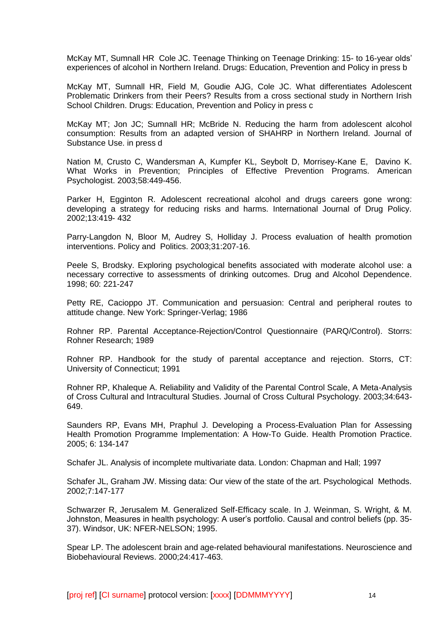McKay MT, Sumnall HR Cole JC. Teenage Thinking on Teenage Drinking: 15- to 16-year olds' experiences of alcohol in Northern Ireland. Drugs: Education, Prevention and Policy in press b

McKay MT, Sumnall HR, Field M, Goudie AJG, Cole JC. What differentiates Adolescent Problematic Drinkers from their Peers? Results from a cross sectional study in Northern Irish School Children. Drugs: Education, Prevention and Policy in press c

McKay MT; Jon JC; Sumnall HR; McBride N. Reducing the harm from adolescent alcohol consumption: Results from an adapted version of SHAHRP in Northern Ireland. Journal of Substance Use. in press d

Nation M, Crusto C, Wandersman A, Kumpfer KL, Seybolt D, Morrisey-Kane E, Davino K. What Works in Prevention; Principles of Effective Prevention Programs. American Psychologist. 2003;58:449-456.

Parker H, Egginton R. Adolescent recreational alcohol and drugs careers gone wrong: developing a strategy for reducing risks and harms. International Journal of Drug Policy. 2002;13:419- 432

Parry-Langdon N, Bloor M, Audrey S, Holliday J. Process evaluation of health promotion interventions. Policy and Politics. 2003;31:207-16.

Peele S, Brodsky. Exploring psychological benefits associated with moderate alcohol use: a necessary corrective to assessments of drinking outcomes. Drug and Alcohol Dependence. 1998; 60: 221-247

Petty RE, Cacioppo JT. Communication and persuasion: Central and peripheral routes to attitude change. New York: Springer-Verlag; 1986

Rohner RP. Parental Acceptance-Rejection/Control Questionnaire (PARQ/Control). Storrs: Rohner Research; 1989

Rohner RP. Handbook for the study of parental acceptance and rejection. Storrs, CT: University of Connecticut; 1991

Rohner RP, Khaleque A. Reliability and Validity of the Parental Control Scale, A Meta-Analysis of Cross Cultural and Intracultural Studies. Journal of Cross Cultural Psychology. 2003;34:643- 649.

Saunders RP, Evans MH, Praphul J. Developing a Process-Evaluation Plan for Assessing Health Promotion Programme Implementation: A How-To Guide. Health Promotion Practice. 2005; 6: 134-147

Schafer JL. Analysis of incomplete multivariate data. London: Chapman and Hall; 1997

Schafer JL, Graham JW. Missing data: Our view of the state of the art. Psychological Methods. 2002;7:147-177

Schwarzer R, Jerusalem M. Generalized Self-Efficacy scale. In J. Weinman, S. Wright, & M. Johnston, Measures in health psychology: A user's portfolio. Causal and control beliefs (pp. 35- 37). Windsor, UK: NFER-NELSON; 1995.

Spear LP. The adolescent brain and age-related behavioural manifestations. Neuroscience and Biobehavioural Reviews. 2000;24:417-463.